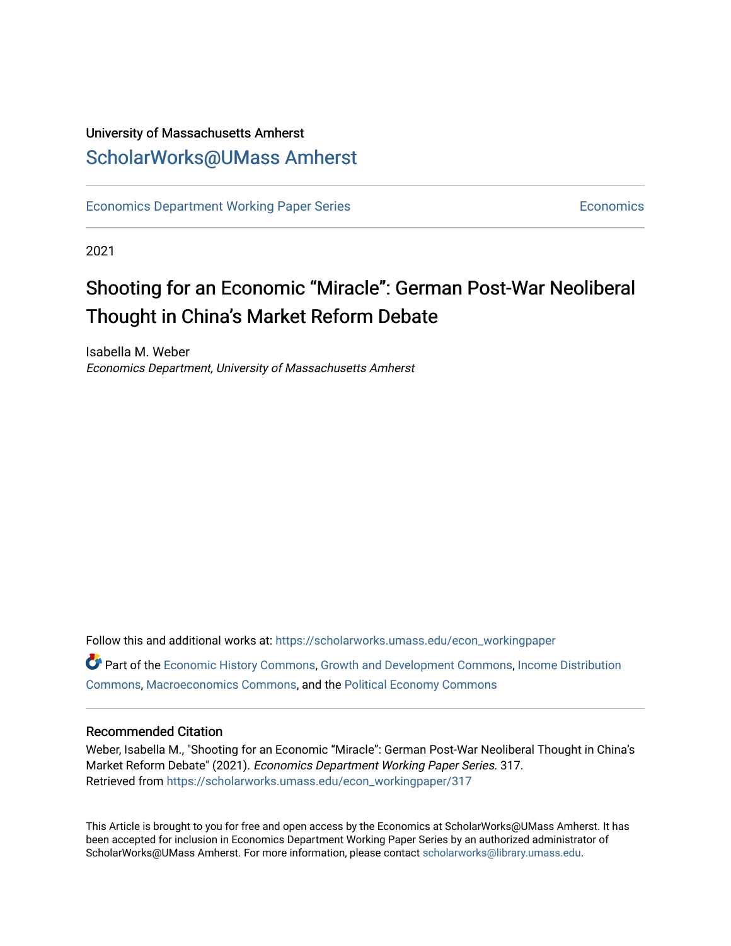# University of Massachusetts Amherst [ScholarWorks@UMass Amherst](https://scholarworks.umass.edu/)

[Economics Department Working Paper Series](https://scholarworks.umass.edu/econ_workingpaper) **Economics** [Economics](https://scholarworks.umass.edu/economics) Economics

2021

# Shooting for an Economic "Miracle": German Post-War Neoliberal Thought in China's Market Reform Debate

Isabella M. Weber Economics Department, University of Massachusetts Amherst

Follow this and additional works at: [https://scholarworks.umass.edu/econ\\_workingpaper](https://scholarworks.umass.edu/econ_workingpaper?utm_source=scholarworks.umass.edu%2Fecon_workingpaper%2F317&utm_medium=PDF&utm_campaign=PDFCoverPages)  Part of the [Economic History Commons](http://network.bepress.com/hgg/discipline/343?utm_source=scholarworks.umass.edu%2Fecon_workingpaper%2F317&utm_medium=PDF&utm_campaign=PDFCoverPages), [Growth and Development Commons](http://network.bepress.com/hgg/discipline/346?utm_source=scholarworks.umass.edu%2Fecon_workingpaper%2F317&utm_medium=PDF&utm_campaign=PDFCoverPages), [Income Distribution](http://network.bepress.com/hgg/discipline/1269?utm_source=scholarworks.umass.edu%2Fecon_workingpaper%2F317&utm_medium=PDF&utm_campaign=PDFCoverPages)  [Commons](http://network.bepress.com/hgg/discipline/1269?utm_source=scholarworks.umass.edu%2Fecon_workingpaper%2F317&utm_medium=PDF&utm_campaign=PDFCoverPages), [Macroeconomics Commons,](http://network.bepress.com/hgg/discipline/350?utm_source=scholarworks.umass.edu%2Fecon_workingpaper%2F317&utm_medium=PDF&utm_campaign=PDFCoverPages) and the [Political Economy Commons](http://network.bepress.com/hgg/discipline/352?utm_source=scholarworks.umass.edu%2Fecon_workingpaper%2F317&utm_medium=PDF&utm_campaign=PDFCoverPages) 

#### Recommended Citation

Weber, Isabella M., "Shooting for an Economic "Miracle": German Post-War Neoliberal Thought in China's Market Reform Debate" (2021). Economics Department Working Paper Series. 317. Retrieved from [https://scholarworks.umass.edu/econ\\_workingpaper/317](https://scholarworks.umass.edu/econ_workingpaper/317?utm_source=scholarworks.umass.edu%2Fecon_workingpaper%2F317&utm_medium=PDF&utm_campaign=PDFCoverPages)

This Article is brought to you for free and open access by the Economics at ScholarWorks@UMass Amherst. It has been accepted for inclusion in Economics Department Working Paper Series by an authorized administrator of ScholarWorks@UMass Amherst. For more information, please contact [scholarworks@library.umass.edu.](mailto:scholarworks@library.umass.edu)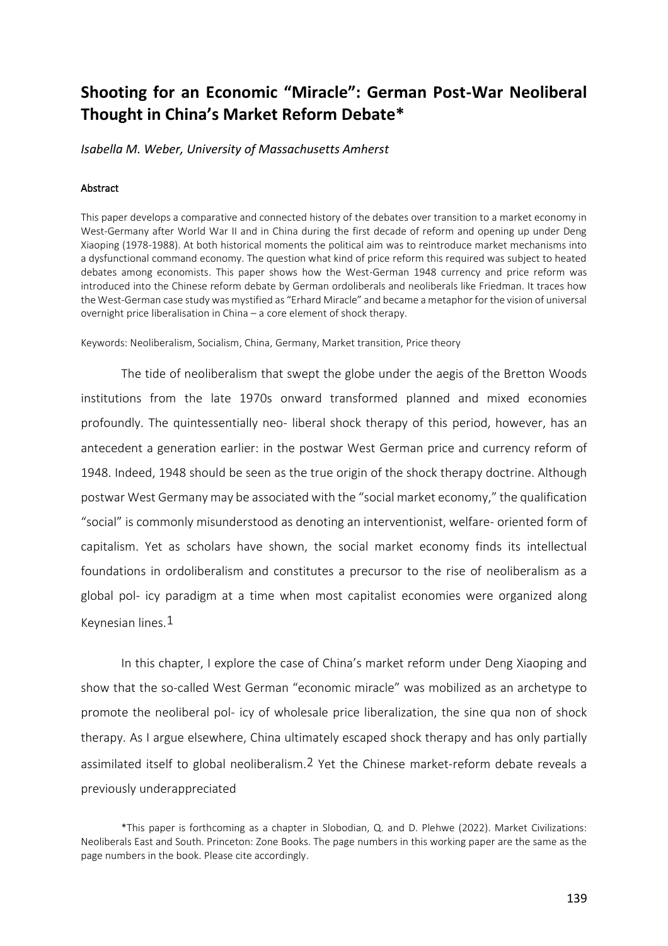# **Shooting for an Economic "Miracle": German Post-War Neoliberal Thought in China's Market Reform Debate\***

*Isabella M. Weber, University of Massachusetts Amherst*

#### Abstract

This paper develops a comparative and connected history of the debates over transition to a market economy in West-Germany after World War II and in China during the first decade of reform and opening up under Deng Xiaoping (1978-1988). At both historical moments the political aim was to reintroduce market mechanisms into a dysfunctional command economy. The question what kind of price reform this required was subject to heated debates among economists. This paper shows how the West-German 1948 currency and price reform was introduced into the Chinese reform debate by German ordoliberals and neoliberals like Friedman. It traces how the West-German case study was mystified as "Erhard Miracle" and became a metaphor for the vision of universal overnight price liberalisation in China – a core element of shock therapy.

Keywords: Neoliberalism, Socialism, China, Germany, Market transition, Price theory

The tide of neoliberalism that swept the globe under the aegis of the Bretton Woods institutions from the late 1970s onward transformed planned and mixed economies profoundly. The quintessentially neo- liberal shock therapy of this period, however, has an antecedent a generation earlier: in the postwar West German price and currency reform of 1948. Indeed, 1948 should be seen as the true origin of the shock therapy doctrine. Although postwar West Germany may be associated with the "social market economy," the qualification "social" is commonly misunderstood as denoting an interventionist, welfare- oriented form of capitalism. Yet as scholars have shown, the social market economy finds its intellectual foundations in ordoliberalism and constitutes a precursor to the rise of neoliberalism as a global pol- icy paradigm at a time when most capitalist economies were organized along Keynesian lines.1

In this chapter, I explore the case of China's market reform under Deng Xiaoping and show that the so-called West German "economic miracle" was mobilized as an archetype to promote the neoliberal pol- icy of wholesale price liberalization, the sine qua non of shock therapy. As I argue elsewhere, China ultimately escaped shock therapy and has only partially assimilated itself to global neoliberalism.2 Yet the Chinese market-reform debate reveals a previously underappreciated

<sup>\*</sup>This paper is forthcoming as a chapter in Slobodian, Q. and D. Plehwe (2022). Market Civilizations: Neoliberals East and South. Princeton: Zone Books. The page numbers in this working paper are the same as the page numbers in the book. Please cite accordingly.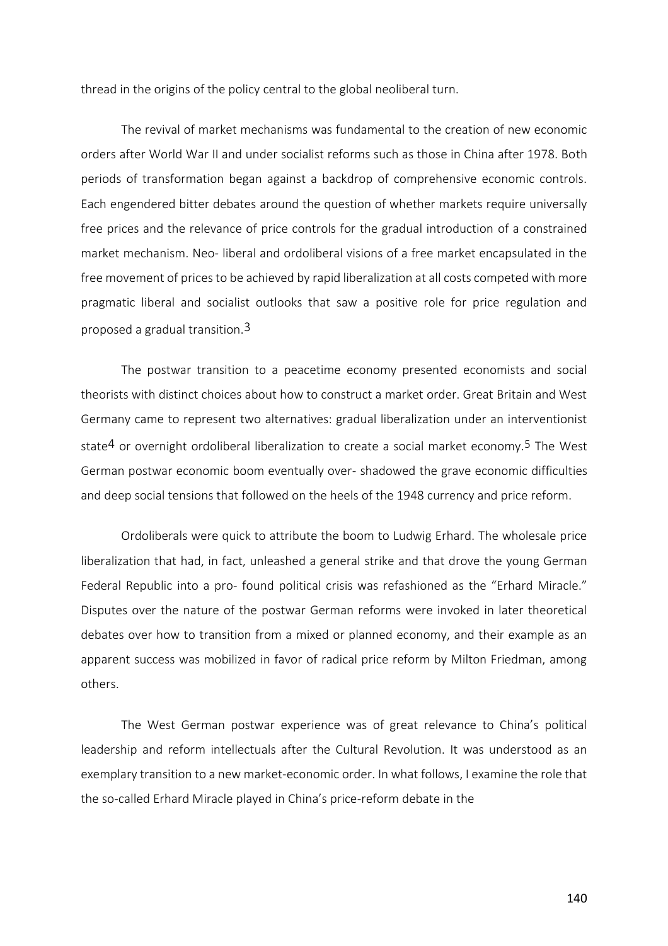thread in the origins of the policy central to the global neoliberal turn.

The revival of market mechanisms was fundamental to the creation of new economic orders after World War II and under socialist reforms such as those in China after 1978. Both periods of transformation began against a backdrop of comprehensive economic controls. Each engendered bitter debates around the question of whether markets require universally free prices and the relevance of price controls for the gradual introduction of a constrained market mechanism. Neo- liberal and ordoliberal visions of a free market encapsulated in the free movement of prices to be achieved by rapid liberalization at all costs competed with more pragmatic liberal and socialist outlooks that saw a positive role for price regulation and proposed a gradual transition.3

The postwar transition to a peacetime economy presented economists and social theorists with distinct choices about how to construct a market order. Great Britain and West Germany came to represent two alternatives: gradual liberalization under an interventionist state<sup>4</sup> or overnight ordoliberal liberalization to create a social market economy.<sup>5</sup> The West German postwar economic boom eventually over- shadowed the grave economic difficulties and deep social tensions that followed on the heels of the 1948 currency and price reform.

Ordoliberals were quick to attribute the boom to Ludwig Erhard. The wholesale price liberalization that had, in fact, unleashed a general strike and that drove the young German Federal Republic into a pro- found political crisis was refashioned as the "Erhard Miracle." Disputes over the nature of the postwar German reforms were invoked in later theoretical debates over how to transition from a mixed or planned economy, and their example as an apparent success was mobilized in favor of radical price reform by Milton Friedman, among others.

The West German postwar experience was of great relevance to China's political leadership and reform intellectuals after the Cultural Revolution. It was understood as an exemplary transition to a new market-economic order. In what follows, I examine the role that the so-called Erhard Miracle played in China's price-reform debate in the

140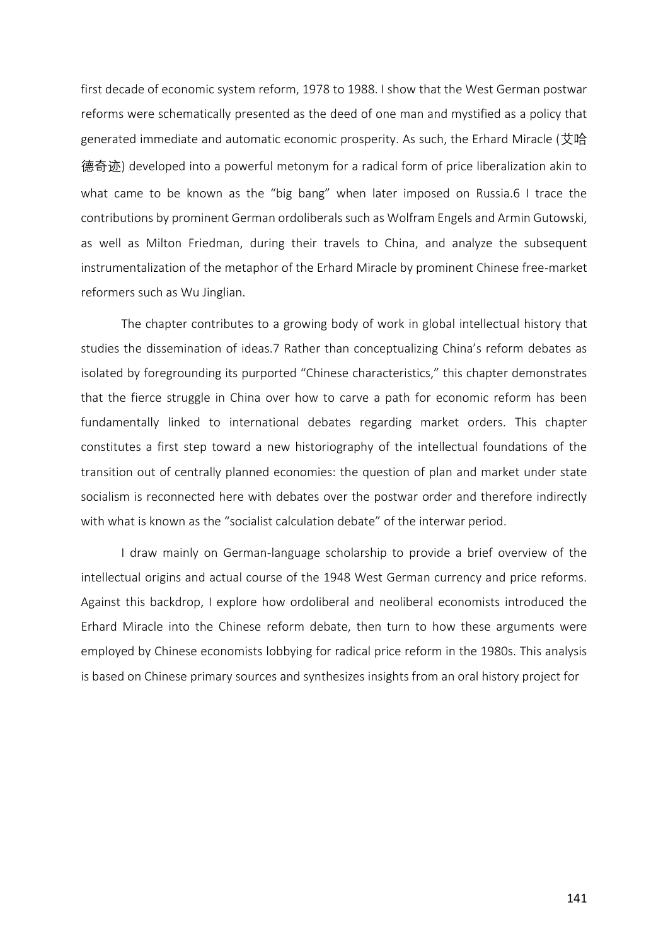first decade of economic system reform, 1978 to 1988. I show that the West German postwar reforms were schematically presented as the deed of one man and mystified as a policy that generated immediate and automatic economic prosperity. As such, the Erhard Miracle (艾哈 德奇迹) developed into a powerful metonym for a radical form of price liberalization akin to what came to be known as the "big bang" when later imposed on Russia.6 I trace the contributions by prominent German ordoliberals such as Wolfram Engels and Armin Gutowski, as well as Milton Friedman, during their travels to China, and analyze the subsequent instrumentalization of the metaphor of the Erhard Miracle by prominent Chinese free-market reformers such as Wu Jinglian.

The chapter contributes to a growing body of work in global intellectual history that studies the dissemination of ideas.7 Rather than conceptualizing China's reform debates as isolated by foregrounding its purported "Chinese characteristics," this chapter demonstrates that the fierce struggle in China over how to carve a path for economic reform has been fundamentally linked to international debates regarding market orders. This chapter constitutes a first step toward a new historiography of the intellectual foundations of the transition out of centrally planned economies: the question of plan and market under state socialism is reconnected here with debates over the postwar order and therefore indirectly with what is known as the "socialist calculation debate" of the interwar period.

I draw mainly on German-language scholarship to provide a brief overview of the intellectual origins and actual course of the 1948 West German currency and price reforms. Against this backdrop, I explore how ordoliberal and neoliberal economists introduced the Erhard Miracle into the Chinese reform debate, then turn to how these arguments were employed by Chinese economists lobbying for radical price reform in the 1980s. This analysis is based on Chinese primary sources and synthesizes insights from an oral history project for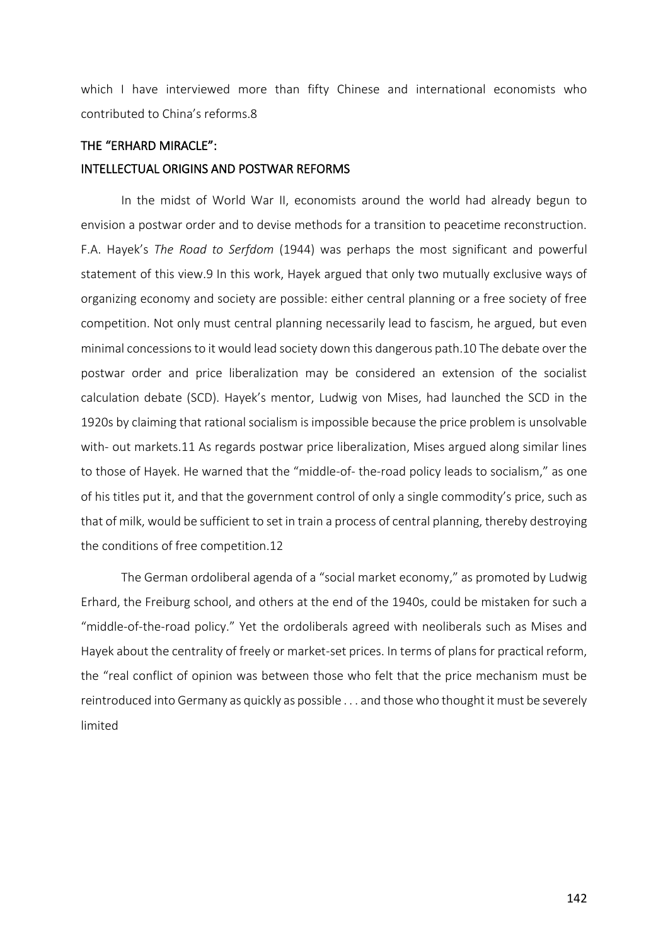which I have interviewed more than fifty Chinese and international economists who contributed to China's reforms.8

# THE "ERHARD MIRACLE":

#### INTELLECTUAL ORIGINS AND POSTWAR REFORMS

In the midst of World War II, economists around the world had already begun to envision a postwar order and to devise methods for a transition to peacetime reconstruction. F.A. Hayek's *The Road to Serfdom* (1944) was perhaps the most significant and powerful statement of this view.9 In this work, Hayek argued that only two mutually exclusive ways of organizing economy and society are possible: either central planning or a free society of free competition. Not only must central planning necessarily lead to fascism, he argued, but even minimal concessions to it would lead society down this dangerous path.10 The debate over the postwar order and price liberalization may be considered an extension of the socialist calculation debate (SCD). Hayek's mentor, Ludwig von Mises, had launched the SCD in the 1920s by claiming that rational socialism is impossible because the price problem is unsolvable with- out markets.11 As regards postwar price liberalization, Mises argued along similar lines to those of Hayek. He warned that the "middle-of- the-road policy leads to socialism," as one of his titles put it, and that the government control of only a single commodity's price, such as that of milk, would be sufficient to set in train a process of central planning, thereby destroying the conditions of free competition.12

The German ordoliberal agenda of a "social market economy," as promoted by Ludwig Erhard, the Freiburg school, and others at the end of the 1940s, could be mistaken for such a "middle-of-the-road policy." Yet the ordoliberals agreed with neoliberals such as Mises and Hayek about the centrality of freely or market-set prices. In terms of plans for practical reform, the "real conflict of opinion was between those who felt that the price mechanism must be reintroduced into Germany as quickly as possible . . . and those who thought it must be severely limited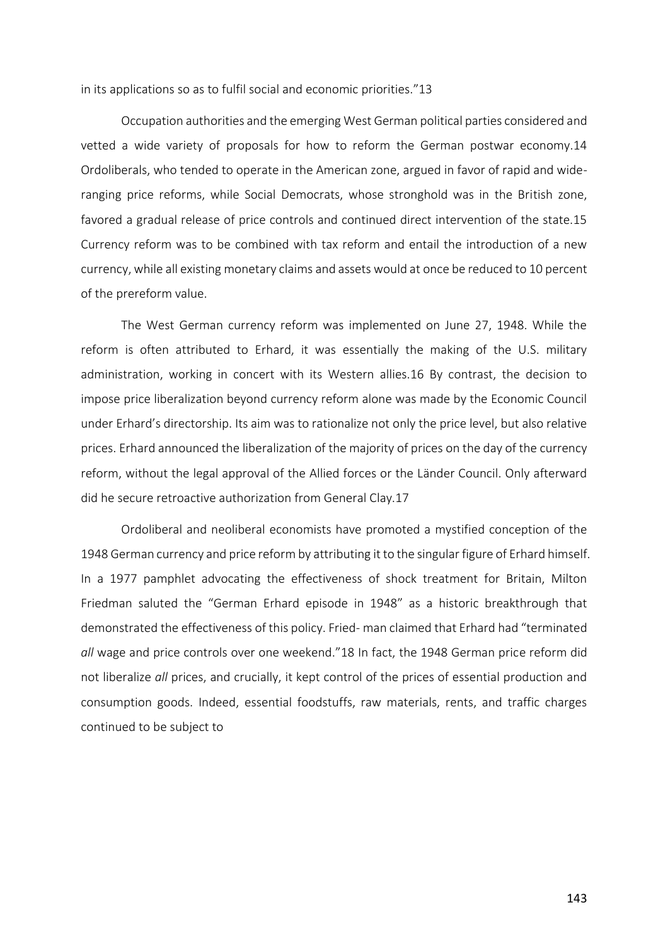in its applications so as to fulfil social and economic priorities."13

Occupation authorities and the emerging West German political parties considered and vetted a wide variety of proposals for how to reform the German postwar economy.14 Ordoliberals, who tended to operate in the American zone, argued in favor of rapid and wideranging price reforms, while Social Democrats, whose stronghold was in the British zone, favored a gradual release of price controls and continued direct intervention of the state.15 Currency reform was to be combined with tax reform and entail the introduction of a new currency, while all existing monetary claims and assets would at once be reduced to 10 percent of the prereform value.

The West German currency reform was implemented on June 27, 1948. While the reform is often attributed to Erhard, it was essentially the making of the U.S. military administration, working in concert with its Western allies.16 By contrast, the decision to impose price liberalization beyond currency reform alone was made by the Economic Council under Erhard's directorship. Its aim was to rationalize not only the price level, but also relative prices. Erhard announced the liberalization of the majority of prices on the day of the currency reform, without the legal approval of the Allied forces or the Länder Council. Only afterward did he secure retroactive authorization from General Clay.17

Ordoliberal and neoliberal economists have promoted a mystified conception of the 1948 German currency and price reform by attributing it to the singular figure of Erhard himself. In a 1977 pamphlet advocating the effectiveness of shock treatment for Britain, Milton Friedman saluted the "German Erhard episode in 1948" as a historic breakthrough that demonstrated the effectiveness of this policy. Fried- man claimed that Erhard had "terminated *all* wage and price controls over one weekend."18 In fact, the 1948 German price reform did not liberalize *all* prices, and crucially, it kept control of the prices of essential production and consumption goods. Indeed, essential foodstuffs, raw materials, rents, and traffic charges continued to be subject to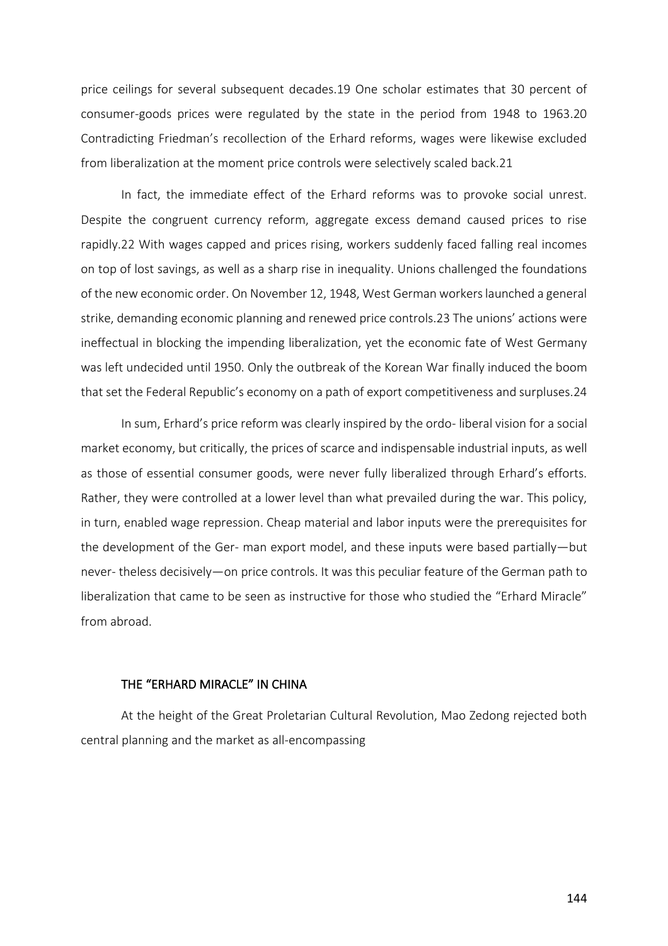price ceilings for several subsequent decades.19 One scholar estimates that 30 percent of consumer-goods prices were regulated by the state in the period from 1948 to 1963.20 Contradicting Friedman's recollection of the Erhard reforms, wages were likewise excluded from liberalization at the moment price controls were selectively scaled back.21

In fact, the immediate effect of the Erhard reforms was to provoke social unrest. Despite the congruent currency reform, aggregate excess demand caused prices to rise rapidly.22 With wages capped and prices rising, workers suddenly faced falling real incomes on top of lost savings, as well as a sharp rise in inequality. Unions challenged the foundations of the new economic order. On November 12, 1948, West German workers launched a general strike, demanding economic planning and renewed price controls.23 The unions' actions were ineffectual in blocking the impending liberalization, yet the economic fate of West Germany was left undecided until 1950. Only the outbreak of the Korean War finally induced the boom that set the Federal Republic's economy on a path of export competitiveness and surpluses.24

In sum, Erhard's price reform was clearly inspired by the ordo- liberal vision for a social market economy, but critically, the prices of scarce and indispensable industrial inputs, as well as those of essential consumer goods, were never fully liberalized through Erhard's efforts. Rather, they were controlled at a lower level than what prevailed during the war. This policy, in turn, enabled wage repression. Cheap material and labor inputs were the prerequisites for the development of the Ger- man export model, and these inputs were based partially—but never- theless decisively—on price controls. It was this peculiar feature of the German path to liberalization that came to be seen as instructive for those who studied the "Erhard Miracle" from abroad.

## THE "ERHARD MIRACLE" IN CHINA

At the height of the Great Proletarian Cultural Revolution, Mao Zedong rejected both central planning and the market as all-encompassing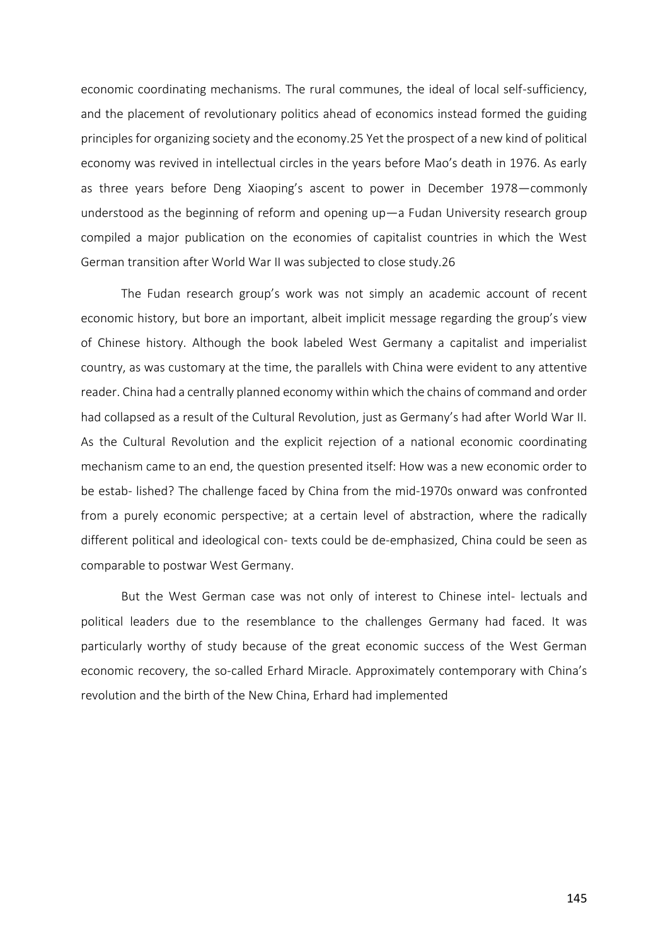economic coordinating mechanisms. The rural communes, the ideal of local self-sufficiency, and the placement of revolutionary politics ahead of economics instead formed the guiding principles for organizing society and the economy.25 Yet the prospect of a new kind of political economy was revived in intellectual circles in the years before Mao's death in 1976. As early as three years before Deng Xiaoping's ascent to power in December 1978—commonly understood as the beginning of reform and opening up—a Fudan University research group compiled a major publication on the economies of capitalist countries in which the West German transition after World War II was subjected to close study.26

The Fudan research group's work was not simply an academic account of recent economic history, but bore an important, albeit implicit message regarding the group's view of Chinese history. Although the book labeled West Germany a capitalist and imperialist country, as was customary at the time, the parallels with China were evident to any attentive reader. China had a centrally planned economy within which the chains of command and order had collapsed as a result of the Cultural Revolution, just as Germany's had after World War II. As the Cultural Revolution and the explicit rejection of a national economic coordinating mechanism came to an end, the question presented itself: How was a new economic order to be estab- lished? The challenge faced by China from the mid-1970s onward was confronted from a purely economic perspective; at a certain level of abstraction, where the radically different political and ideological con- texts could be de-emphasized, China could be seen as comparable to postwar West Germany.

But the West German case was not only of interest to Chinese intel- lectuals and political leaders due to the resemblance to the challenges Germany had faced. It was particularly worthy of study because of the great economic success of the West German economic recovery, the so-called Erhard Miracle. Approximately contemporary with China's revolution and the birth of the New China, Erhard had implemented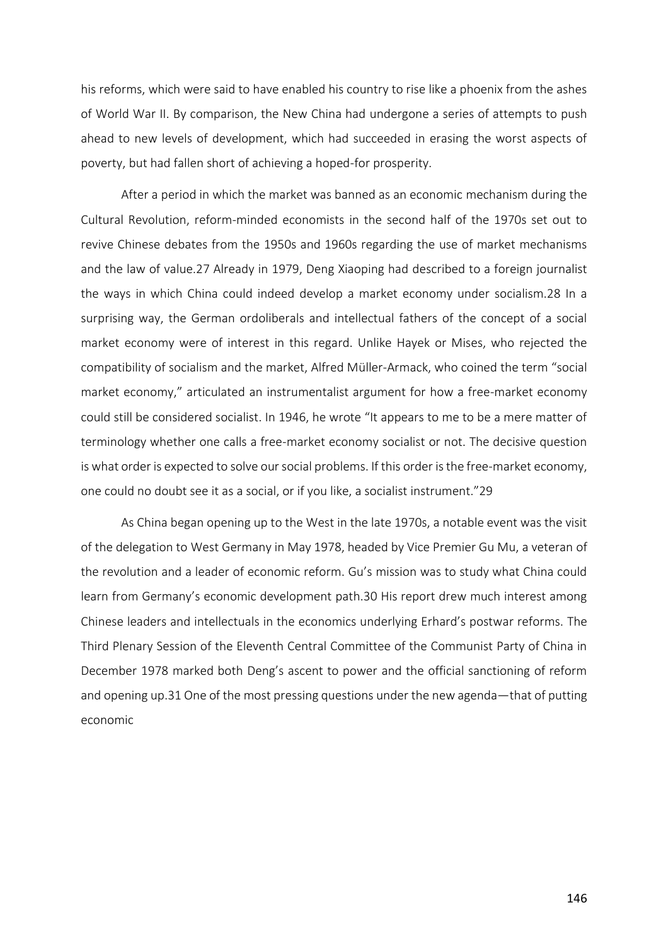his reforms, which were said to have enabled his country to rise like a phoenix from the ashes of World War II. By comparison, the New China had undergone a series of attempts to push ahead to new levels of development, which had succeeded in erasing the worst aspects of poverty, but had fallen short of achieving a hoped-for prosperity.

After a period in which the market was banned as an economic mechanism during the Cultural Revolution, reform-minded economists in the second half of the 1970s set out to revive Chinese debates from the 1950s and 1960s regarding the use of market mechanisms and the law of value.27 Already in 1979, Deng Xiaoping had described to a foreign journalist the ways in which China could indeed develop a market economy under socialism.28 In a surprising way, the German ordoliberals and intellectual fathers of the concept of a social market economy were of interest in this regard. Unlike Hayek or Mises, who rejected the compatibility of socialism and the market, Alfred Müller-Armack, who coined the term "social market economy," articulated an instrumentalist argument for how a free-market economy could still be considered socialist. In 1946, he wrote "It appears to me to be a mere matter of terminology whether one calls a free-market economy socialist or not. The decisive question is what order is expected to solve our social problems. If this order is the free-market economy, one could no doubt see it as a social, or if you like, a socialist instrument."29

As China began opening up to the West in the late 1970s, a notable event was the visit of the delegation to West Germany in May 1978, headed by Vice Premier Gu Mu, a veteran of the revolution and a leader of economic reform. Gu's mission was to study what China could learn from Germany's economic development path.30 His report drew much interest among Chinese leaders and intellectuals in the economics underlying Erhard's postwar reforms. The Third Plenary Session of the Eleventh Central Committee of the Communist Party of China in December 1978 marked both Deng's ascent to power and the official sanctioning of reform and opening up.31 One of the most pressing questions under the new agenda—that of putting economic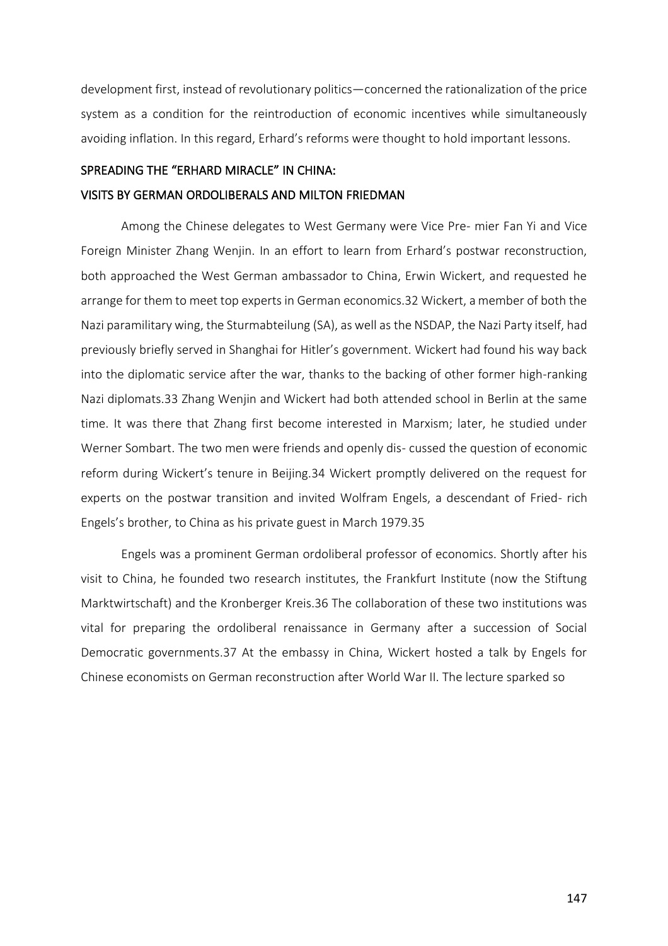development first, instead of revolutionary politics—concerned the rationalization of the price system as a condition for the reintroduction of economic incentives while simultaneously avoiding inflation. In this regard, Erhard's reforms were thought to hold important lessons.

#### SPREADING THE "ERHARD MIRACLE" IN CHINA:

# VISITS BY GERMAN ORDOLIBERALS AND MILTON FRIEDMAN

Among the Chinese delegates to West Germany were Vice Pre- mier Fan Yi and Vice Foreign Minister Zhang Wenjin. In an effort to learn from Erhard's postwar reconstruction, both approached the West German ambassador to China, Erwin Wickert, and requested he arrange for them to meet top experts in German economics.32 Wickert, a member of both the Nazi paramilitary wing, the Sturmabteilung (SA), as well as the NSDAP, the Nazi Party itself, had previously briefly served in Shanghai for Hitler's government. Wickert had found his way back into the diplomatic service after the war, thanks to the backing of other former high-ranking Nazi diplomats.33 Zhang Wenjin and Wickert had both attended school in Berlin at the same time. It was there that Zhang first become interested in Marxism; later, he studied under Werner Sombart. The two men were friends and openly dis- cussed the question of economic reform during Wickert's tenure in Beijing.34 Wickert promptly delivered on the request for experts on the postwar transition and invited Wolfram Engels, a descendant of Fried- rich Engels's brother, to China as his private guest in March 1979.35

Engels was a prominent German ordoliberal professor of economics. Shortly after his visit to China, he founded two research institutes, the Frankfurt Institute (now the Stiftung Marktwirtschaft) and the Kronberger Kreis.36 The collaboration of these two institutions was vital for preparing the ordoliberal renaissance in Germany after a succession of Social Democratic governments.37 At the embassy in China, Wickert hosted a talk by Engels for Chinese economists on German reconstruction after World War II. The lecture sparked so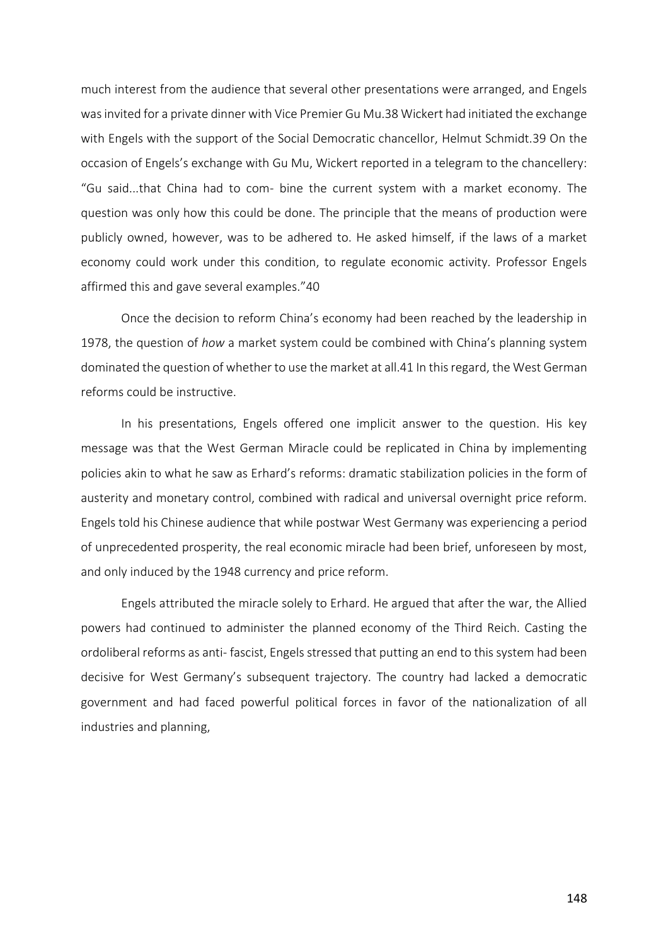much interest from the audience that several other presentations were arranged, and Engels was invited for a private dinner with Vice Premier Gu Mu.38 Wickert had initiated the exchange with Engels with the support of the Social Democratic chancellor, Helmut Schmidt.39 On the occasion of Engels's exchange with Gu Mu, Wickert reported in a telegram to the chancellery: "Gu said...that China had to com- bine the current system with a market economy. The question was only how this could be done. The principle that the means of production were publicly owned, however, was to be adhered to. He asked himself, if the laws of a market economy could work under this condition, to regulate economic activity. Professor Engels affirmed this and gave several examples."40

Once the decision to reform China's economy had been reached by the leadership in 1978, the question of *how* a market system could be combined with China's planning system dominated the question of whether to use the market at all.41 In this regard, the West German reforms could be instructive.

In his presentations, Engels offered one implicit answer to the question. His key message was that the West German Miracle could be replicated in China by implementing policies akin to what he saw as Erhard's reforms: dramatic stabilization policies in the form of austerity and monetary control, combined with radical and universal overnight price reform. Engels told his Chinese audience that while postwar West Germany was experiencing a period of unprecedented prosperity, the real economic miracle had been brief, unforeseen by most, and only induced by the 1948 currency and price reform.

Engels attributed the miracle solely to Erhard. He argued that after the war, the Allied powers had continued to administer the planned economy of the Third Reich. Casting the ordoliberal reforms as anti- fascist, Engels stressed that putting an end to this system had been decisive for West Germany's subsequent trajectory. The country had lacked a democratic government and had faced powerful political forces in favor of the nationalization of all industries and planning,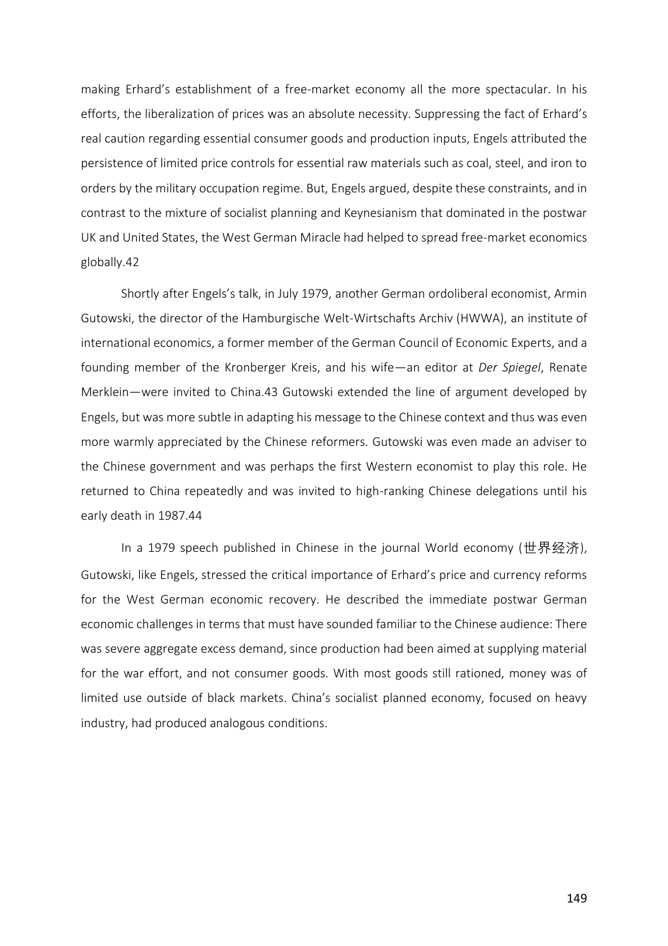making Erhard's establishment of a free-market economy all the more spectacular. In his efforts, the liberalization of prices was an absolute necessity. Suppressing the fact of Erhard's real caution regarding essential consumer goods and production inputs, Engels attributed the persistence of limited price controls for essential raw materials such as coal, steel, and iron to orders by the military occupation regime. But, Engels argued, despite these constraints, and in contrast to the mixture of socialist planning and Keynesianism that dominated in the postwar UK and United States, the West German Miracle had helped to spread free-market economics globally.42

Shortly after Engels's talk, in July 1979, another German ordoliberal economist, Armin Gutowski, the director of the Hamburgische Welt-Wirtschafts Archiv (HWWA), an institute of international economics, a former member of the German Council of Economic Experts, and a founding member of the Kronberger Kreis, and his wife—an editor at *Der Spiegel*, Renate Merklein—were invited to China.43 Gutowski extended the line of argument developed by Engels, but was more subtle in adapting his message to the Chinese context and thus was even more warmly appreciated by the Chinese reformers. Gutowski was even made an adviser to the Chinese government and was perhaps the first Western economist to play this role. He returned to China repeatedly and was invited to high-ranking Chinese delegations until his early death in 1987.44

In a 1979 speech published in Chinese in the journal World economy (世界经济), Gutowski, like Engels, stressed the critical importance of Erhard's price and currency reforms for the West German economic recovery. He described the immediate postwar German economic challenges in terms that must have sounded familiar to the Chinese audience: There was severe aggregate excess demand, since production had been aimed at supplying material for the war effort, and not consumer goods. With most goods still rationed, money was of limited use outside of black markets. China's socialist planned economy, focused on heavy industry, had produced analogous conditions.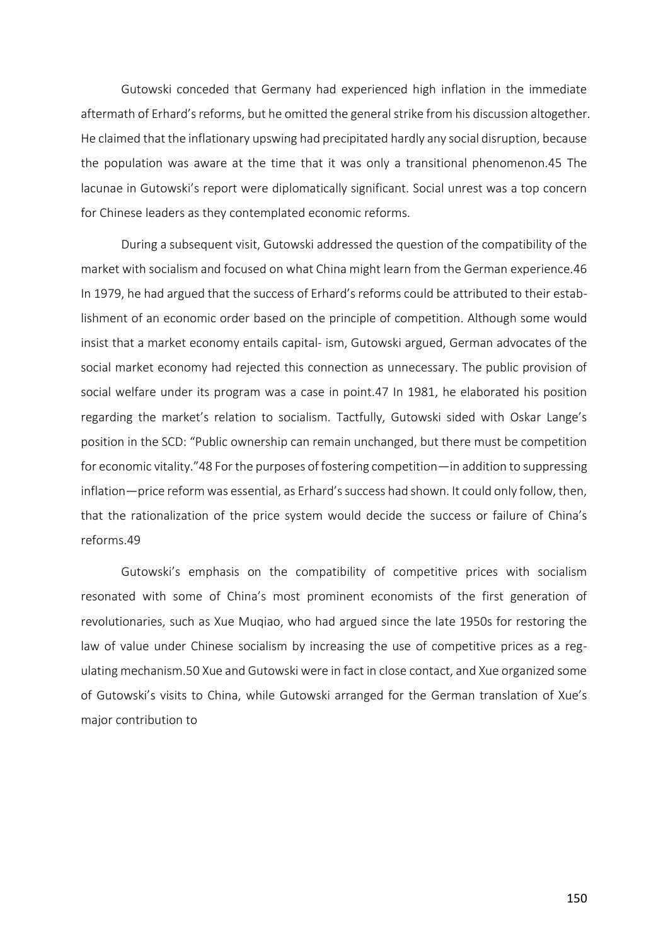Gutowski conceded that Germany had experienced high inflation in the immediate aftermath of Erhard's reforms, but he omitted the general strike from his discussion altogether. He claimed that the inflationary upswing had precipitated hardly any social disruption, because the population was aware at the time that it was only a transitional phenomenon.45 The lacunae in Gutowski's report were diplomatically significant. Social unrest was a top concern for Chinese leaders as they contemplated economic reforms.

During a subsequent visit, Gutowski addressed the question of the compatibility of the market with socialism and focused on what China might learn from the German experience.46 In 1979, he had argued that the success of Erhard's reforms could be attributed to their establishment of an economic order based on the principle of competition. Although some would insist that a market economy entails capital- ism, Gutowski argued, German advocates of the social market economy had rejected this connection as unnecessary. The public provision of social welfare under its program was a case in point.47 In 1981, he elaborated his position regarding the market's relation to socialism. Tactfully, Gutowski sided with Oskar Lange's position in the SCD: "Public ownership can remain unchanged, but there must be competition for economic vitality."48 For the purposes of fostering competition—in addition to suppressing inflation—price reform was essential, as Erhard's success had shown. It could only follow, then, that the rationalization of the price system would decide the success or failure of China's reforms.49

Gutowski's emphasis on the compatibility of competitive prices with socialism resonated with some of China's most prominent economists of the first generation of revolutionaries, such as Xue Muqiao, who had argued since the late 1950s for restoring the law of value under Chinese socialism by increasing the use of competitive prices as a regulating mechanism.50 Xue and Gutowski were in fact in close contact, and Xue organized some of Gutowski's visits to China, while Gutowski arranged for the German translation of Xue's major contribution to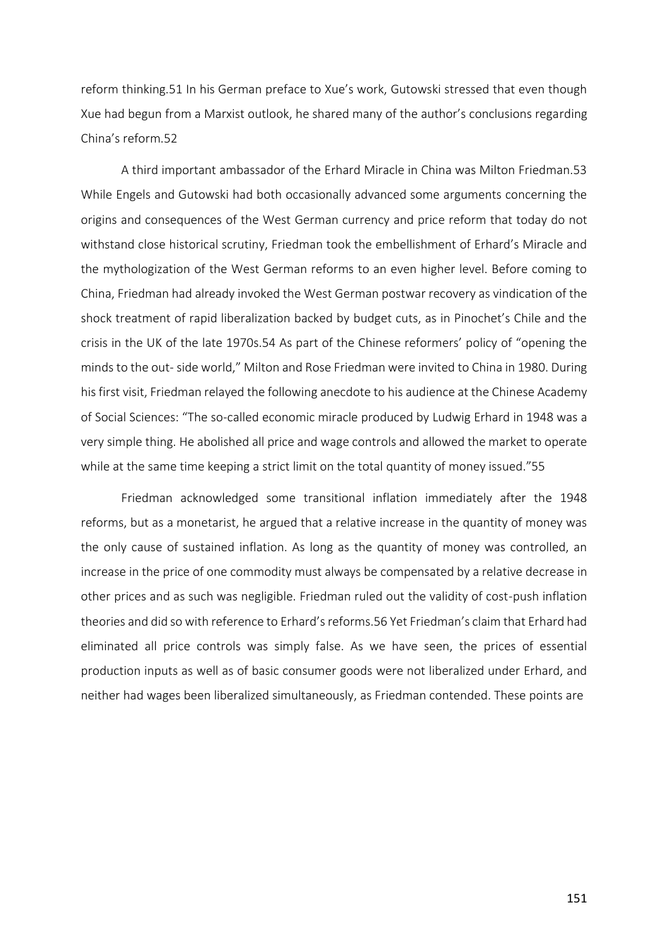reform thinking.51 In his German preface to Xue's work, Gutowski stressed that even though Xue had begun from a Marxist outlook, he shared many of the author's conclusions regarding China's reform.52

A third important ambassador of the Erhard Miracle in China was Milton Friedman.53 While Engels and Gutowski had both occasionally advanced some arguments concerning the origins and consequences of the West German currency and price reform that today do not withstand close historical scrutiny, Friedman took the embellishment of Erhard's Miracle and the mythologization of the West German reforms to an even higher level. Before coming to China, Friedman had already invoked the West German postwar recovery as vindication of the shock treatment of rapid liberalization backed by budget cuts, as in Pinochet's Chile and the crisis in the UK of the late 1970s.54 As part of the Chinese reformers' policy of "opening the minds to the out- side world," Milton and Rose Friedman were invited to China in 1980. During his first visit, Friedman relayed the following anecdote to his audience at the Chinese Academy of Social Sciences: "The so-called economic miracle produced by Ludwig Erhard in 1948 was a very simple thing. He abolished all price and wage controls and allowed the market to operate while at the same time keeping a strict limit on the total quantity of money issued."55

Friedman acknowledged some transitional inflation immediately after the 1948 reforms, but as a monetarist, he argued that a relative increase in the quantity of money was the only cause of sustained inflation. As long as the quantity of money was controlled, an increase in the price of one commodity must always be compensated by a relative decrease in other prices and as such was negligible. Friedman ruled out the validity of cost-push inflation theories and did so with reference to Erhard's reforms.56 Yet Friedman's claim that Erhard had eliminated all price controls was simply false. As we have seen, the prices of essential production inputs as well as of basic consumer goods were not liberalized under Erhard, and neither had wages been liberalized simultaneously, as Friedman contended. These points are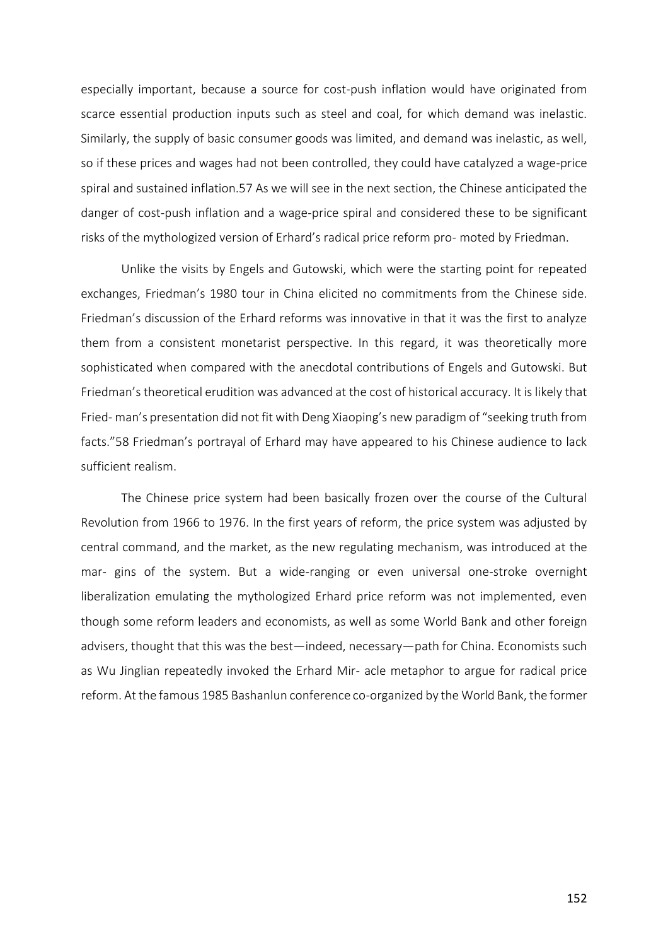especially important, because a source for cost-push inflation would have originated from scarce essential production inputs such as steel and coal, for which demand was inelastic. Similarly, the supply of basic consumer goods was limited, and demand was inelastic, as well, so if these prices and wages had not been controlled, they could have catalyzed a wage-price spiral and sustained inflation.57 As we will see in the next section, the Chinese anticipated the danger of cost-push inflation and a wage-price spiral and considered these to be significant risks of the mythologized version of Erhard's radical price reform pro- moted by Friedman.

Unlike the visits by Engels and Gutowski, which were the starting point for repeated exchanges, Friedman's 1980 tour in China elicited no commitments from the Chinese side. Friedman's discussion of the Erhard reforms was innovative in that it was the first to analyze them from a consistent monetarist perspective. In this regard, it was theoretically more sophisticated when compared with the anecdotal contributions of Engels and Gutowski. But Friedman's theoretical erudition was advanced at the cost of historical accuracy. It is likely that Fried- man's presentation did not fit with Deng Xiaoping's new paradigm of "seeking truth from facts."58 Friedman's portrayal of Erhard may have appeared to his Chinese audience to lack sufficient realism.

The Chinese price system had been basically frozen over the course of the Cultural Revolution from 1966 to 1976. In the first years of reform, the price system was adjusted by central command, and the market, as the new regulating mechanism, was introduced at the mar- gins of the system. But a wide-ranging or even universal one-stroke overnight liberalization emulating the mythologized Erhard price reform was not implemented, even though some reform leaders and economists, as well as some World Bank and other foreign advisers, thought that this was the best—indeed, necessary—path for China. Economists such as Wu Jinglian repeatedly invoked the Erhard Mir- acle metaphor to argue for radical price reform. At the famous 1985 Bashanlun conference co-organized by the World Bank, the former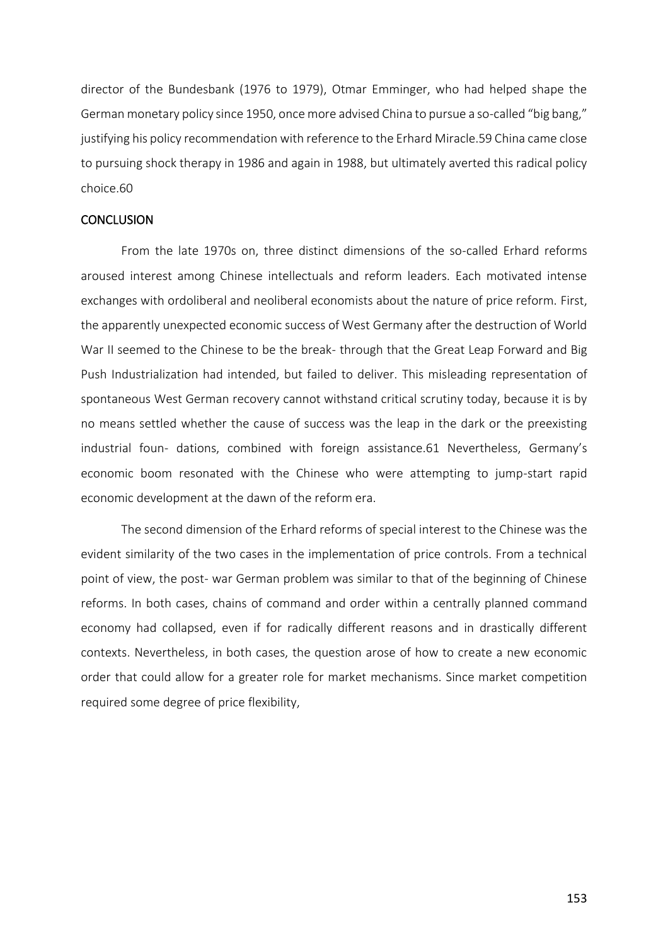director of the Bundesbank (1976 to 1979), Otmar Emminger, who had helped shape the German monetary policy since 1950, once more advised China to pursue a so-called "big bang," justifying his policy recommendation with reference to the Erhard Miracle.59 China came close to pursuing shock therapy in 1986 and again in 1988, but ultimately averted this radical policy choice.60

## **CONCLUSION**

From the late 1970s on, three distinct dimensions of the so-called Erhard reforms aroused interest among Chinese intellectuals and reform leaders. Each motivated intense exchanges with ordoliberal and neoliberal economists about the nature of price reform. First, the apparently unexpected economic success of West Germany after the destruction of World War II seemed to the Chinese to be the break- through that the Great Leap Forward and Big Push Industrialization had intended, but failed to deliver. This misleading representation of spontaneous West German recovery cannot withstand critical scrutiny today, because it is by no means settled whether the cause of success was the leap in the dark or the preexisting industrial foun- dations, combined with foreign assistance.61 Nevertheless, Germany's economic boom resonated with the Chinese who were attempting to jump-start rapid economic development at the dawn of the reform era.

The second dimension of the Erhard reforms of special interest to the Chinese was the evident similarity of the two cases in the implementation of price controls. From a technical point of view, the post- war German problem was similar to that of the beginning of Chinese reforms. In both cases, chains of command and order within a centrally planned command economy had collapsed, even if for radically different reasons and in drastically different contexts. Nevertheless, in both cases, the question arose of how to create a new economic order that could allow for a greater role for market mechanisms. Since market competition required some degree of price flexibility,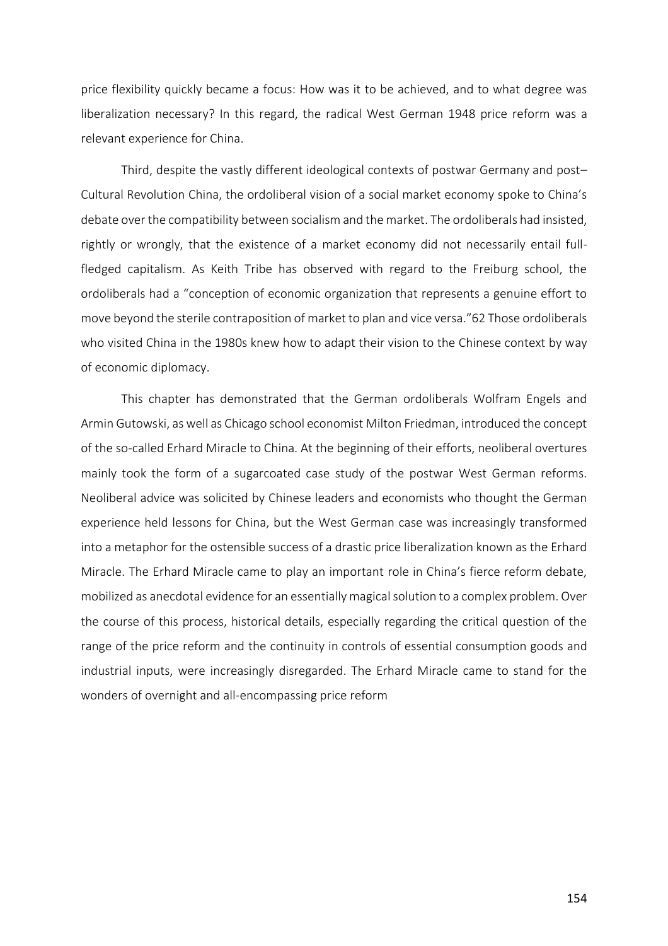price flexibility quickly became a focus: How was it to be achieved, and to what degree was liberalization necessary? In this regard, the radical West German 1948 price reform was a relevant experience for China.

Third, despite the vastly different ideological contexts of postwar Germany and post– Cultural Revolution China, the ordoliberal vision of a social market economy spoke to China's debate over the compatibility between socialism and the market. The ordoliberals had insisted, rightly or wrongly, that the existence of a market economy did not necessarily entail fullfledged capitalism. As Keith Tribe has observed with regard to the Freiburg school, the ordoliberals had a "conception of economic organization that represents a genuine effort to move beyond the sterile contraposition of market to plan and vice versa."62 Those ordoliberals who visited China in the 1980s knew how to adapt their vision to the Chinese context by way of economic diplomacy.

This chapter has demonstrated that the German ordoliberals Wolfram Engels and Armin Gutowski, as well as Chicago school economist Milton Friedman, introduced the concept of the so-called Erhard Miracle to China. At the beginning of their efforts, neoliberal overtures mainly took the form of a sugarcoated case study of the postwar West German reforms. Neoliberal advice was solicited by Chinese leaders and economists who thought the German experience held lessons for China, but the West German case was increasingly transformed into a metaphor for the ostensible success of a drastic price liberalization known as the Erhard Miracle. The Erhard Miracle came to play an important role in China's fierce reform debate, mobilized as anecdotal evidence for an essentially magical solution to a complex problem. Over the course of this process, historical details, especially regarding the critical question of the range of the price reform and the continuity in controls of essential consumption goods and industrial inputs, were increasingly disregarded. The Erhard Miracle came to stand for the wonders of overnight and all-encompassing price reform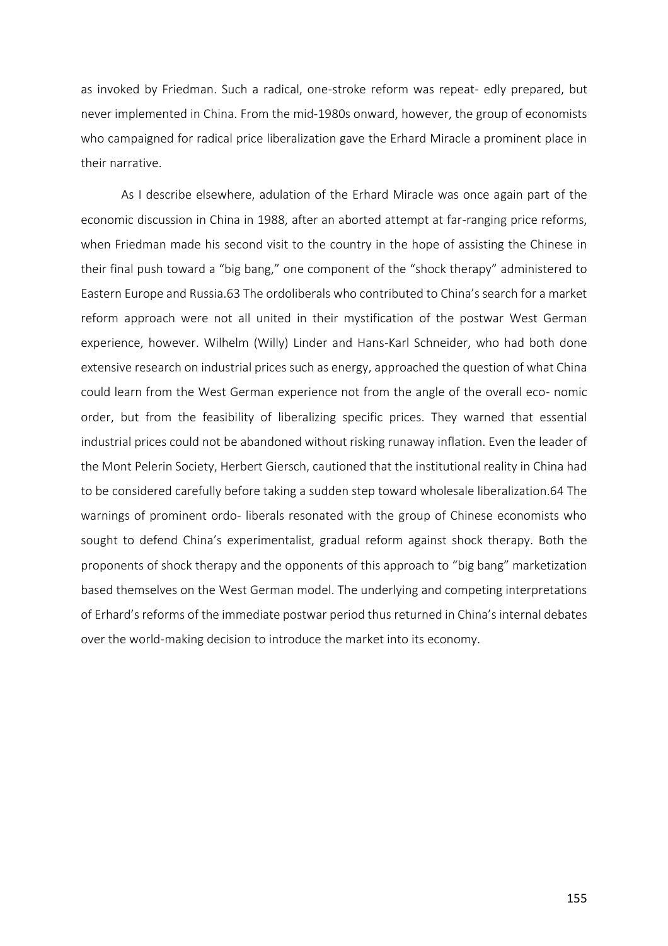as invoked by Friedman. Such a radical, one-stroke reform was repeat- edly prepared, but never implemented in China. From the mid-1980s onward, however, the group of economists who campaigned for radical price liberalization gave the Erhard Miracle a prominent place in their narrative.

As I describe elsewhere, adulation of the Erhard Miracle was once again part of the economic discussion in China in 1988, after an aborted attempt at far-ranging price reforms, when Friedman made his second visit to the country in the hope of assisting the Chinese in their final push toward a "big bang," one component of the "shock therapy" administered to Eastern Europe and Russia.63 The ordoliberals who contributed to China's search for a market reform approach were not all united in their mystification of the postwar West German experience, however. Wilhelm (Willy) Linder and Hans-Karl Schneider, who had both done extensive research on industrial prices such as energy, approached the question of what China could learn from the West German experience not from the angle of the overall eco- nomic order, but from the feasibility of liberalizing specific prices. They warned that essential industrial prices could not be abandoned without risking runaway inflation. Even the leader of the Mont Pelerin Society, Herbert Giersch, cautioned that the institutional reality in China had to be considered carefully before taking a sudden step toward wholesale liberalization.64 The warnings of prominent ordo- liberals resonated with the group of Chinese economists who sought to defend China's experimentalist, gradual reform against shock therapy. Both the proponents of shock therapy and the opponents of this approach to "big bang" marketization based themselves on the West German model. The underlying and competing interpretations of Erhard's reforms of the immediate postwar period thus returned in China's internal debates over the world-making decision to introduce the market into its economy.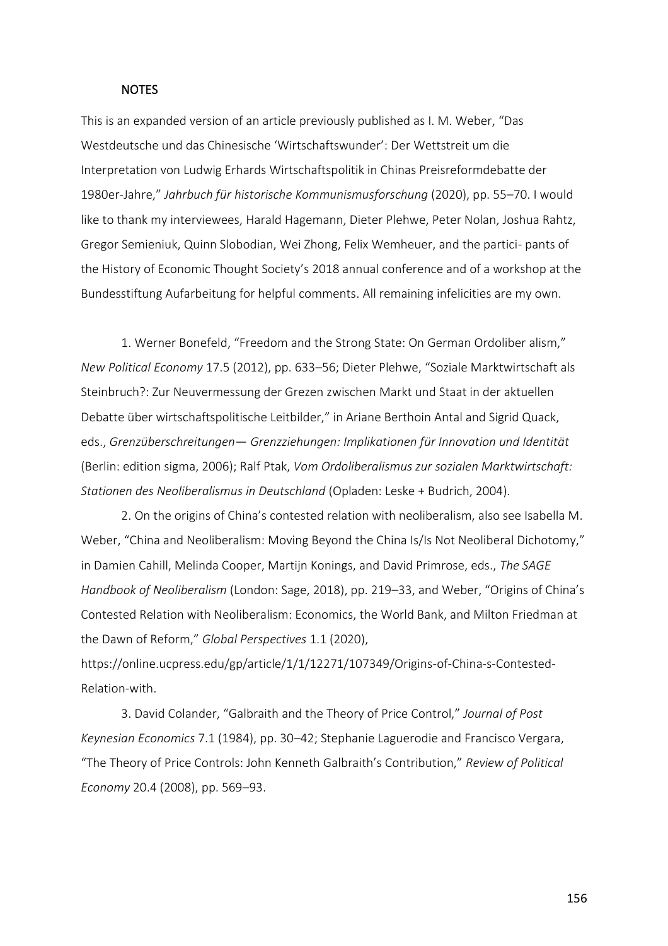#### NOTES

This is an expanded version of an article previously published as I. M. Weber, "Das Westdeutsche und das Chinesische 'Wirtschaftswunder': Der Wettstreit um die Interpretation von Ludwig Erhards Wirtschaftspolitik in Chinas Preisreformdebatte der 1980er-Jahre," *Jahrbuch für historische Kommunismusforschung* (2020), pp. 55–70. I would like to thank my interviewees, Harald Hagemann, Dieter Plehwe, Peter Nolan, Joshua Rahtz, Gregor Semieniuk, Quinn Slobodian, Wei Zhong, Felix Wemheuer, and the partici- pants of the History of Economic Thought Society's 2018 annual conference and of a workshop at the Bundesstiftung Aufarbeitung for helpful comments. All remaining infelicities are my own.

1. Werner Bonefeld, "Freedom and the Strong State: On German Ordoliber alism," *New Political Economy* 17.5 (2012), pp. 633–56; Dieter Plehwe, "Soziale Marktwirtschaft als Steinbruch?: Zur Neuvermessung der Grezen zwischen Markt und Staat in der aktuellen Debatte über wirtschaftspolitische Leitbilder," in Ariane Berthoin Antal and Sigrid Quack, eds., *Grenzüberschreitungen*— *Grenzziehungen: Implikationen für Innovation und Identität*  (Berlin: edition sigma, 2006); Ralf Ptak, *Vom Ordoliberalismus zur sozialen Marktwirtschaft: Stationen des Neoliberalismus in Deutschland* (Opladen: Leske + Budrich, 2004).

2. On the origins of China's contested relation with neoliberalism, also see Isabella M. Weber, "China and Neoliberalism: Moving Beyond the China Is/Is Not Neoliberal Dichotomy," in Damien Cahill, Melinda Cooper, Martijn Konings, and David Primrose, eds., *The SAGE Handbook of Neoliberalism* (London: Sage, 2018), pp. 219–33, and Weber, "Origins of China's Contested Relation with Neoliberalism: Economics, the World Bank, and Milton Friedman at the Dawn of Reform," *Global Perspectives* 1.1 (2020),

https://online.ucpress.edu/gp/article/1/1/12271/107349/Origins-of-China-s-Contested-Relation-with.

3. David Colander, "Galbraith and the Theory of Price Control," *Journal of Post Keynesian Economics* 7.1 (1984), pp. 30–42; Stephanie Laguerodie and Francisco Vergara, "The Theory of Price Controls: John Kenneth Galbraith's Contribution," *Review of Political Economy* 20.4 (2008), pp. 569–93.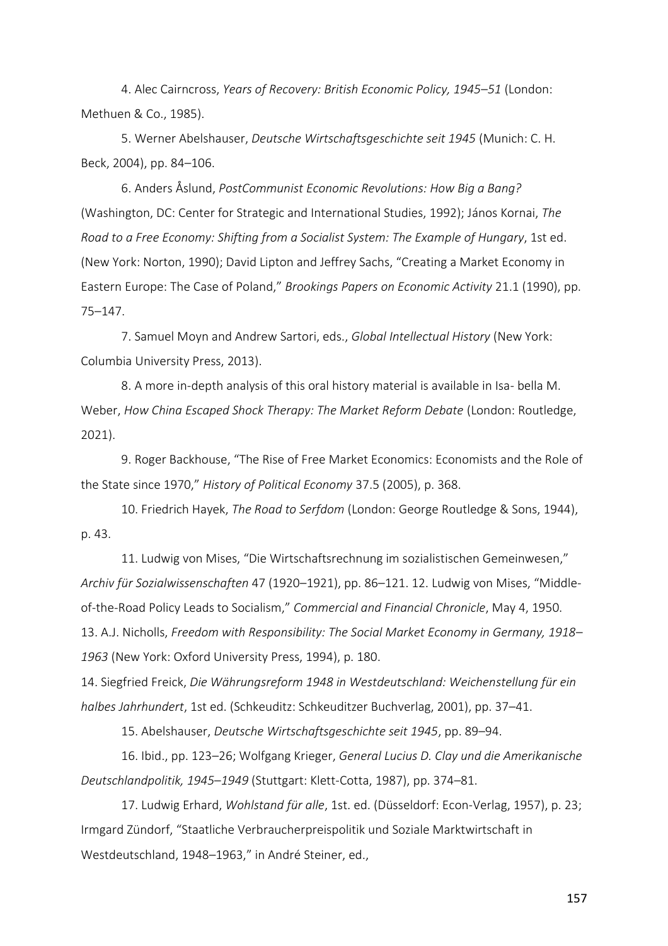4. Alec Cairncross, *Years of Recovery: British Economic Policy, 1945*–*51* (London: Methuen & Co., 1985).

5. Werner Abelshauser, *Deutsche Wirtschaftsgeschichte seit 1945* (Munich: C. H. Beck, 2004), pp. 84–106.

6. Anders Åslund, *PostCommunist Economic Revolutions: How Big a Bang?*  (Washington, DC: Center for Strategic and International Studies, 1992); János Kornai, *The Road to a Free Economy: Shifting from a Socialist System: The Example of Hungary*, 1st ed. (New York: Norton, 1990); David Lipton and Jeffrey Sachs, "Creating a Market Economy in Eastern Europe: The Case of Poland," *Brookings Papers on Economic Activity* 21.1 (1990), pp. 75–147.

7. Samuel Moyn and Andrew Sartori, eds., *Global Intellectual History* (New York: Columbia University Press, 2013).

8. A more in-depth analysis of this oral history material is available in Isa- bella M. Weber, *How China Escaped Shock Therapy: The Market Reform Debate* (London: Routledge, 2021).

9. Roger Backhouse, "The Rise of Free Market Economics: Economists and the Role of the State since 1970," *History of Political Economy* 37.5 (2005), p. 368.

10. Friedrich Hayek, *The Road to Serfdom* (London: George Routledge & Sons, 1944), p. 43.

11. Ludwig von Mises, "Die Wirtschaftsrechnung im sozialistischen Gemeinwesen," *Archiv für Sozialwissenschaften* 47 (1920–1921), pp. 86–121. 12. Ludwig von Mises, "Middleof-the-Road Policy Leads to Socialism," *Commercial and Financial Chronicle*, May 4, 1950. 13. A.J. Nicholls, *Freedom with Responsibility: The Social Market Economy in Germany, 1918*– *1963* (New York: Oxford University Press, 1994), p. 180.

14. Siegfried Freick, *Die Währungsreform 1948 in Westdeutschland: Weichenstellung für ein halbes Jahrhundert*, 1st ed. (Schkeuditz: Schkeuditzer Buchverlag, 2001), pp. 37–41.

15. Abelshauser, *Deutsche Wirtschaftsgeschichte seit 1945*, pp. 89–94.

16. Ibid., pp. 123–26; Wolfgang Krieger, *General Lucius D. Clay und die Amerikanische Deutschlandpolitik, 1945*–*1949* (Stuttgart: Klett-Cotta, 1987), pp. 374–81.

17. Ludwig Erhard, *Wohlstand für alle*, 1st. ed. (Düsseldorf: Econ-Verlag, 1957), p. 23; Irmgard Zündorf, "Staatliche Verbraucherpreispolitik und Soziale Marktwirtschaft in Westdeutschland, 1948–1963," in André Steiner, ed.,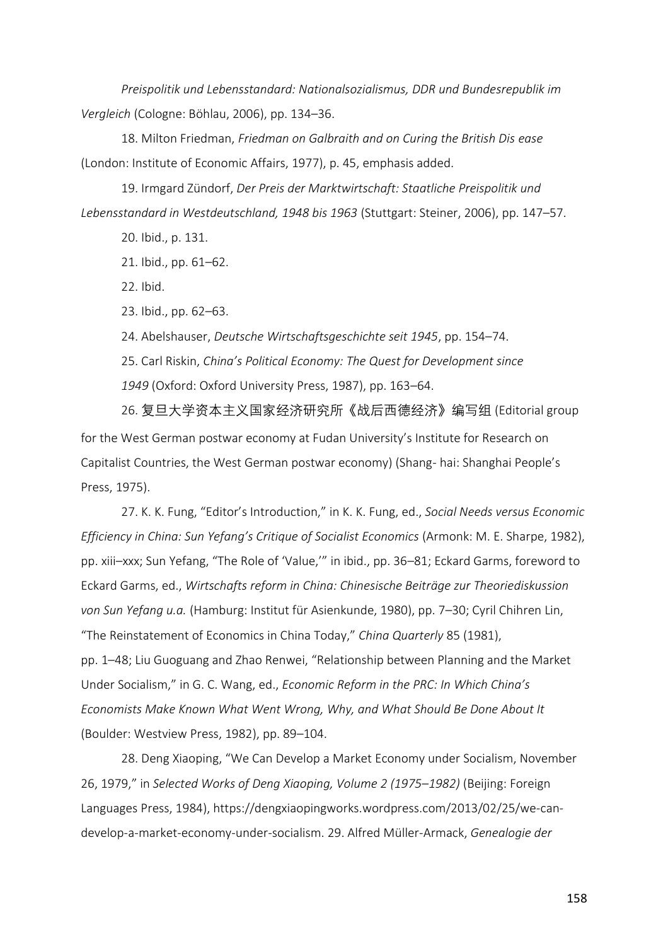*Preispolitik und Lebensstandard: Nationalsozialismus, DDR und Bundesrepublik im Vergleich* (Cologne: Böhlau, 2006), pp. 134–36.

18. Milton Friedman, *Friedman on Galbraith and on Curing the British Dis ease*  (London: Institute of Economic Affairs, 1977), p. 45, emphasis added.

19. Irmgard Zündorf, *Der Preis der Marktwirtschaft: Staatliche Preispolitik und Lebensstandard in Westdeutschland, 1948 bis 1963* (Stuttgart: Steiner, 2006), pp. 147–57.

20. Ibid., p. 131.

21. Ibid., pp. 61–62.

22. Ibid.

23. Ibid., pp. 62–63.

24. Abelshauser, *Deutsche Wirtschaftsgeschichte seit 1945*, pp. 154–74.

25. Carl Riskin, *China's Political Economy: The Quest for Development since 1949* (Oxford: Oxford University Press, 1987), pp. 163–64.

26. 复旦大学资本主义国家经济研究所《战后西德经济》编写组 (Editorial group for the West German postwar economy at Fudan University's Institute for Research on Capitalist Countries, the West German postwar economy) (Shang- hai: Shanghai People's Press, 1975).

27. K. K. Fung, "Editor's Introduction," in K. K. Fung, ed., *Social Needs versus Economic Efficiency in China: Sun Yefang's Critique of Socialist Economics* (Armonk: M. E. Sharpe, 1982), pp. xiii–xxx; Sun Yefang, "The Role of 'Value,'" in ibid., pp. 36–81; Eckard Garms, foreword to Eckard Garms, ed., *Wirtschafts reform in China: Chinesische Beiträge zur Theoriediskussion von Sun Yefang u.a.* (Hamburg: Institut für Asienkunde, 1980), pp. 7–30; Cyril Chihren Lin, "The Reinstatement of Economics in China Today," *China Quarterly* 85 (1981), pp. 1–48; Liu Guoguang and Zhao Renwei, "Relationship between Planning and the Market Under Socialism," in G. C. Wang, ed., *Economic Reform in the PRC: In Which China's Economists Make Known What Went Wrong, Why, and What Should Be Done About It*  (Boulder: Westview Press, 1982), pp. 89–104.

28. Deng Xiaoping, "We Can Develop a Market Economy under Socialism, November 26, 1979," in *Selected Works of Deng Xiaoping, Volume 2 (1975*–*1982)* (Beijing: Foreign Languages Press, 1984), https://dengxiaopingworks.wordpress.com/2013/02/25/we-candevelop-a-market-economy-under-socialism. 29. Alfred Müller-Armack, *Genealogie der*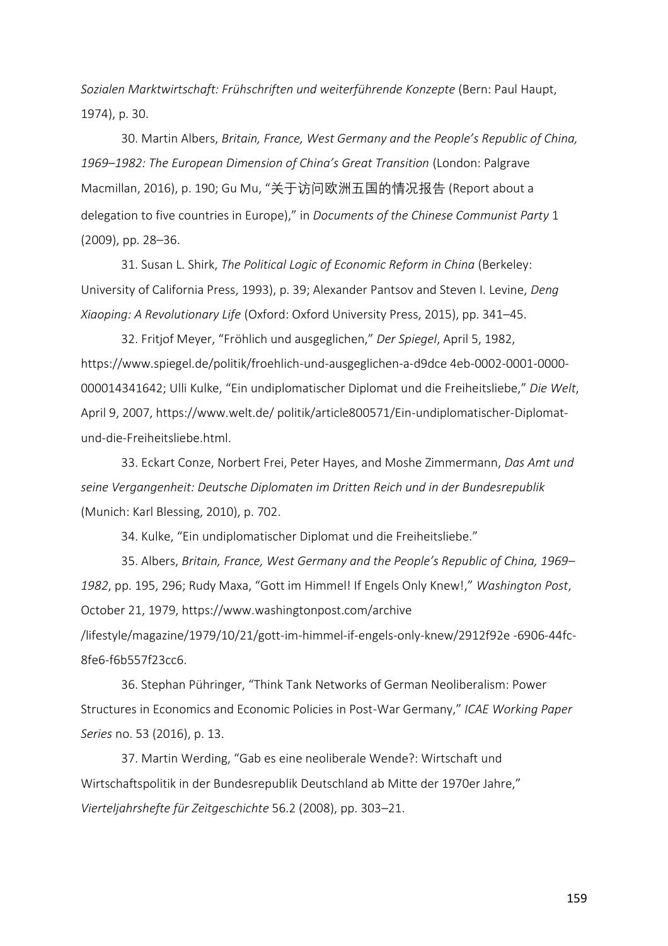*Sozialen Marktwirtschaft: Frühschriften und weiterführende Konzepte* (Bern: Paul Haupt, 1974), p. 30.

30. Martin Albers, *Britain, France, West Germany and the People's Republic of China, 1969*–*1982: The European Dimension of China's Great Transition* (London: Palgrave Macmillan, 2016), p. 190; Gu Mu, "关于访问欧洲五国的情况报告 (Report about a delegation to five countries in Europe)," in *Documents of the Chinese Communist Party* 1 (2009), pp. 28–36.

31. Susan L. Shirk, *The Political Logic of Economic Reform in China* (Berkeley: University of California Press, 1993), p. 39; Alexander Pantsov and Steven I. Levine, *Deng Xiaoping: A Revolutionary Life* (Oxford: Oxford University Press, 2015), pp. 341–45.

32. Fritjof Meyer, "Fröhlich und ausgeglichen," *Der Spiegel*, April 5, 1982, https://www.spiegel.de/politik/froehlich-und-ausgeglichen-a-d9dce 4eb-0002-0001-0000- 000014341642; Ulli Kulke, "Ein undiplomatischer Diplomat und die Freiheitsliebe," *Die Welt*, April 9, 2007, https://www.welt.de/ politik/article800571/Ein-undiplomatischer-Diplomatund-die-Freiheitsliebe.html.

33. Eckart Conze, Norbert Frei, Peter Hayes, and Moshe Zimmermann, *Das Amt und seine Vergangenheit: Deutsche Diplomaten im Dritten Reich und in der Bundesrepublik*  (Munich: Karl Blessing, 2010), p. 702.

34. Kulke, "Ein undiplomatischer Diplomat und die Freiheitsliebe."

35. Albers, *Britain, France, West Germany and the People's Republic of China, 1969*– *1982*, pp. 195, 296; Rudy Maxa, "Gott im Himmel! If Engels Only Knew!," *Washington Post*, October 21, 1979, https://www.washingtonpost.com/archive /lifestyle/magazine/1979/10/21/gott-im-himmel-if-engels-only-knew/2912f92e -6906-44fc-8fe6-f6b557f23cc6.

36. Stephan Pühringer, "Think Tank Networks of German Neoliberalism: Power Structures in Economics and Economic Policies in Post-War Germany," *ICAE Working Paper Series* no. 53 (2016), p. 13.

37. Martin Werding, "Gab es eine neoliberale Wende?: Wirtschaft und Wirtschaftspolitik in der Bundesrepublik Deutschland ab Mitte der 1970er Jahre," *Vierteljahrshefte für Zeitgeschichte* 56.2 (2008), pp. 303–21.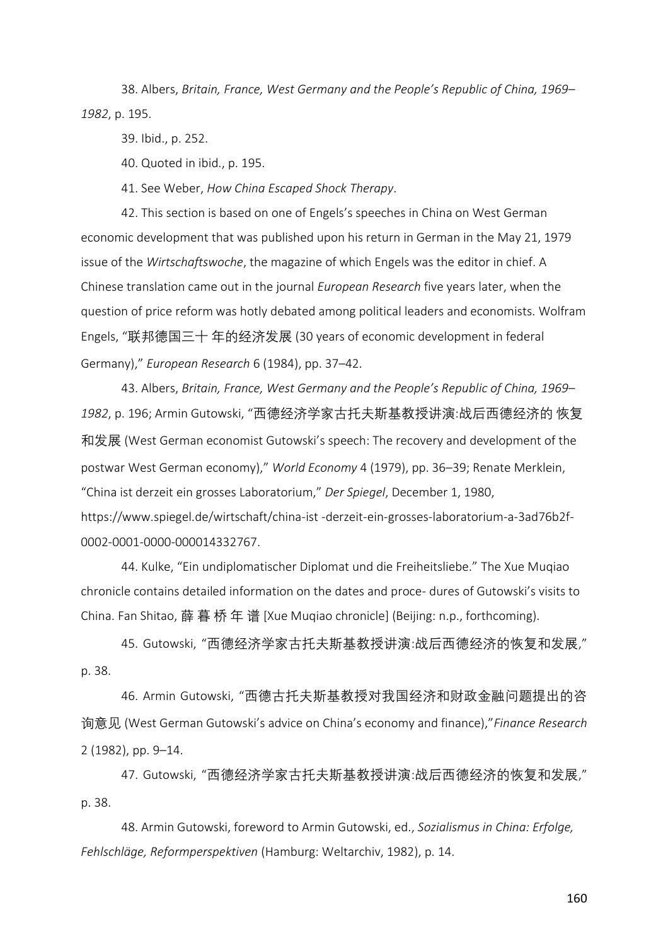38. Albers, *Britain, France, West Germany and the People's Republic of China, 1969*– *1982*, p. 195.

39. Ibid., p. 252.

40. Quoted in ibid., p. 195.

41. See Weber, *How China Escaped Shock Therapy*.

42. This section is based on one of Engels's speeches in China on West German economic development that was published upon his return in German in the May 21, 1979 issue of the *Wirtschaftswoche*, the magazine of which Engels was the editor in chief. A Chinese translation came out in the journal *European Research* five years later, when the question of price reform was hotly debated among political leaders and economists. Wolfram Engels, "联邦德国三十 年的经济发展 (30 years of economic development in federal Germany)," *European Research* 6 (1984), pp. 37–42.

43. Albers, *Britain, France, West Germany and the People's Republic of China, 1969*– *1982*, p. 196; Armin Gutowski, "西德经济学家古托夫斯基教授讲演:战后西德经济的 恢复 和发展 (West German economist Gutowski's speech: The recovery and development of the postwar West German economy)," *World Economy* 4 (1979), pp. 36–39; Renate Merklein, "China ist derzeit ein grosses Laboratorium," *Der Spiegel*, December 1, 1980, https://www.spiegel.de/wirtschaft/china-ist -derzeit-ein-grosses-laboratorium-a-3ad76b2f-0002-0001-0000-000014332767.

44. Kulke, "Ein undiplomatischer Diplomat und die Freiheitsliebe." The Xue Muqiao chronicle contains detailed information on the dates and proce- dures of Gutowski's visits to China. Fan Shitao, 薛 暮 桥 年 谱 [Xue Muqiao chronicle] (Beijing: n.p., forthcoming).

45. Gutowski, "西德经济学家古托夫斯基教授讲演:战后西德经济的恢复和发展," p. 38.

46. Armin Gutowski, "西德古托夫斯基教授对我国经济和财政金融问题提出的咨 询意见 (West German Gutowski's advice on China's economy and finance),"*Finance Research*  2 (1982), pp. 9–14.

47. Gutowski, "西德经济学家古托夫斯基教授讲演:战后西德经济的恢复和发展," p. 38.

48. Armin Gutowski, foreword to Armin Gutowski, ed., *Sozialismus in China: Erfolge, Fehlschläge, Reformperspektiven* (Hamburg: Weltarchiv, 1982), p. 14.

160